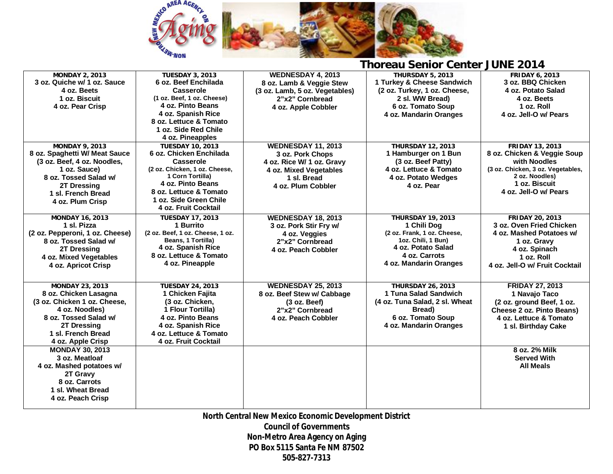

| <b>MONDAY 2, 2013</b>           | <b>TUESDAY 3, 2013</b>           | WEDNESDAY 4, 2013              | THURSDAY 5, 2013               | <b>FRIDAY 6, 2013</b>             |
|---------------------------------|----------------------------------|--------------------------------|--------------------------------|-----------------------------------|
| 3 oz. Quiche w/ 1 oz. Sauce     | 6 oz. Beef Enchilada             | 8 oz. Lamb & Veggie Stew       | 1 Turkey & Cheese Sandwich     | 3 oz. BBQ Chicken                 |
| 4 oz. Beets                     | Casserole                        | (3 oz. Lamb, 5 oz. Vegetables) | (2 oz. Turkey, 1 oz. Cheese,   | 4 oz. Potato Salad                |
| 1 oz. Biscuit                   | (1 oz. Beef, 1 oz. Cheese)       | 2"x2" Cornbread                | 2 sl. WW Bread)                | 4 oz. Beets                       |
| 4 oz. Pear Crisp                | 4 oz. Pinto Beans                | 4 oz. Apple Cobbler            | 6 oz. Tomato Soup              | 1 oz. Roll                        |
|                                 | 4 oz. Spanish Rice               |                                | 4 oz. Mandarin Oranges         | 4 oz. Jell-O w/ Pears             |
|                                 | 8 oz. Lettuce & Tomato           |                                |                                |                                   |
|                                 | 1 oz. Side Red Chile             |                                |                                |                                   |
|                                 | 4 oz. Pineapples                 |                                |                                |                                   |
| <b>MONDAY 9, 2013</b>           | <b>TUESDAY 10, 2013</b>          | <b>WEDNESDAY 11, 2013</b>      | <b>THURSDAY 12, 2013</b>       | <b>FRIDAY 13, 2013</b>            |
| 8 oz. Spaghetti W/ Meat Sauce   | 6 oz. Chicken Enchilada          | 3 oz. Pork Chops               | 1 Hamburger on 1 Bun           | 8 oz. Chicken & Veggie Soup       |
| (3 oz. Beef, 4 oz. Noodles,     | Casserole                        | 4 oz. Rice W/ 1 oz. Gravy      | (3 oz. Beef Patty)             | with Noodles                      |
| 1 oz. Sauce)                    | (2 oz. Chicken, 1 oz. Cheese,    | 4 oz. Mixed Vegetables         | 4 oz. Lettuce & Tomato         | (3 oz. Chicken, 3 oz. Vegetables, |
| 8 oz. Tossed Salad w/           | 1 Corn Tortilla)                 | 1 sl. Bread                    | 4 oz. Potato Wedges            | 2 oz. Noodles)                    |
| 2T Dressing                     | 4 oz. Pinto Beans                | 4 oz. Plum Cobbler             | 4 oz. Pear                     | 1 oz. Biscuit                     |
| 1 sl. French Bread              | 8 oz. Lettuce & Tomato           |                                |                                | 4 oz. Jell-O w/ Pears             |
| 4 oz. Plum Crisp                | 1 oz. Side Green Chile           |                                |                                |                                   |
|                                 | 4 oz. Fruit Cocktail             |                                |                                |                                   |
| <b>MONDAY 16, 2013</b>          | <b>TUESDAY 17, 2013</b>          | WEDNESDAY 18, 2013             | <b>THURSDAY 19, 2013</b>       | <b>FRIDAY 20, 2013</b>            |
| 1 sl. Pizza                     | 1 Burrito                        | 3 oz. Pork Stir Fry w/         | 1 Chili Dog                    | 3 oz. Oven Fried Chicken          |
| (2 oz. Pepperoni, 1 oz. Cheese) | (2 oz. Beef, 1 oz. Cheese, 1 oz. | 4 oz. Veggies                  | (2 oz. Frank, 1 oz. Cheese,    | 4 oz. Mashed Potatoes w/          |
| 8 oz. Tossed Salad w/           | Beans, 1 Tortilla)               | 2"x2" Cornbread                | 1oz. Chili, 1 Bun)             | 1 oz. Gravy                       |
| 2T Dressing                     | 4 oz. Spanish Rice               | 4 oz. Peach Cobbler            | 4 oz. Potato Salad             | 4 oz. Spinach                     |
| 4 oz. Mixed Vegetables          | 8 oz. Lettuce & Tomato           |                                | 4 oz. Carrots                  | 1 oz. Roll                        |
| 4 oz. Apricot Crisp             | 4 oz. Pineapple                  |                                | 4 oz. Mandarin Oranges         | 4 oz. Jell-O w/ Fruit Cocktail    |
|                                 |                                  |                                |                                |                                   |
| <b>MONDAY 23, 2013</b>          | <b>TUESDAY 24, 2013</b>          | <b>WEDNESDAY 25, 2013</b>      | <b>THURSDAY 26, 2013</b>       | <b>FRIDAY 27, 2013</b>            |
| 8 oz. Chicken Lasagna           | 1 Chicken Fajita                 | 8 oz. Beef Stew w/ Cabbage     | 1 Tuna Salad Sandwich          | 1 Navajo Taco                     |
| (3 oz. Chicken 1 oz. Cheese,    | (3 oz. Chicken,                  | (3 oz. Beef)                   | (4 oz. Tuna Salad, 2 sl. Wheat | (2 oz. ground Beef, 1 oz.         |
| 4 oz. Noodles)                  | 1 Flour Tortilla)                | 2"x2" Cornbread                | Bread)                         | Cheese 2 oz. Pinto Beans)         |
| 8 oz. Tossed Salad w/           | 4 oz. Pinto Beans                | 4 oz. Peach Cobbler            | 6 oz. Tomato Soup              | 4 oz. Lettuce & Tomato            |
| 2T Dressing                     | 4 oz. Spanish Rice               |                                | 4 oz. Mandarin Oranges         | 1 sl. Birthday Cake               |
| 1 sl. French Bread              | 4 oz. Lettuce & Tomato           |                                |                                |                                   |
| 4 oz. Apple Crisp               | 4 oz. Fruit Cocktail             |                                |                                |                                   |
| <b>MONDAY 30, 2013</b>          |                                  |                                |                                | 8 oz. 2% Milk                     |
| 3 oz. Meatloaf                  |                                  |                                |                                | <b>Served With</b>                |
| 4 oz. Mashed potatoes w/        |                                  |                                |                                | <b>All Meals</b>                  |
| 2T Gravy                        |                                  |                                |                                |                                   |
| 8 oz. Carrots                   |                                  |                                |                                |                                   |
| 1 sl. Wheat Bread               |                                  |                                |                                |                                   |
| 4 oz. Peach Crisp               |                                  |                                |                                |                                   |
|                                 |                                  |                                |                                |                                   |

**North Central New Mexico Economic Development District Council of Governments Non-Metro Area Agency on Aging PO Box 5115 Santa Fe NM 87502 505-827-7313**